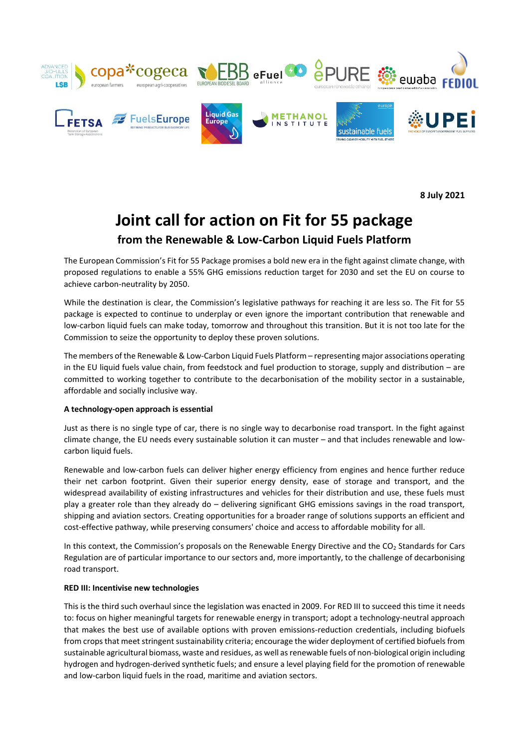

**8 July 2021**

## **Joint call for action on Fit for 55 package from the Renewable & Low-Carbon Liquid Fuels Platform**

The European Commission's Fit for 55 Package promises a bold new era in the fight against climate change, with proposed regulations to enable a 55% GHG emissions reduction target for 2030 and set the EU on course to achieve carbon-neutrality by 2050.

While the destination is clear, the Commission's legislative pathways for reaching it are less so. The Fit for 55 package is expected to continue to underplay or even ignore the important contribution that renewable and low-carbon liquid fuels can make today, tomorrow and throughout this transition. But it is not too late for the Commission to seize the opportunity to deploy these proven solutions.

The members of the Renewable & Low-Carbon Liquid Fuels Platform – representing major associations operating in the EU liquid fuels value chain, from feedstock and fuel production to storage, supply and distribution – are committed to working together to contribute to the decarbonisation of the mobility sector in a sustainable, affordable and socially inclusive way.

## **A technology-open approach is essential**

Just as there is no single type of car, there is no single way to decarbonise road transport. In the fight against climate change, the EU needs every sustainable solution it can muster – and that includes renewable and lowcarbon liquid fuels.

Renewable and low-carbon fuels can deliver higher energy efficiency from engines and hence further reduce their net carbon footprint. Given their superior energy density, ease of storage and transport, and the widespread availability of existing infrastructures and vehicles for their distribution and use, these fuels must play a greater role than they already do – delivering significant GHG emissions savings in the road transport, shipping and aviation sectors. Creating opportunities for a broader range of solutions supports an efficient and cost-effective pathway, while preserving consumers' choice and access to affordable mobility for all.

In this context, the Commission's proposals on the Renewable Energy Directive and the CO<sub>2</sub> Standards for Cars Regulation are of particular importance to our sectors and, more importantly, to the challenge of decarbonising road transport.

## **RED III: Incentivise new technologies**

This is the third such overhaul since the legislation was enacted in 2009. For RED III to succeed this time it needs to: focus on higher meaningful targets for renewable energy in transport; adopt a technology-neutral approach that makes the best use of available options with proven emissions-reduction credentials, including biofuels from crops that meet stringent sustainability criteria; encourage the wider deployment of certified biofuels from sustainable agricultural biomass, waste and residues, as well as renewable fuels of non-biological origin including hydrogen and hydrogen-derived synthetic fuels; and ensure a level playing field for the promotion of renewable and low-carbon liquid fuels in the road, maritime and aviation sectors.